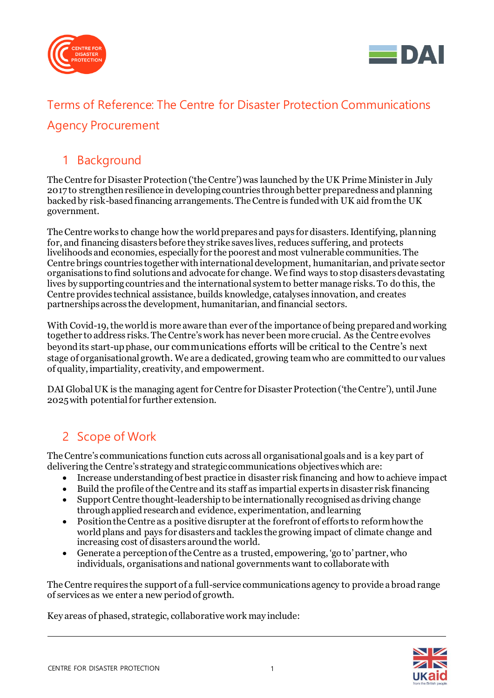



# Terms of Reference: The Centre for Disaster Protection Communications Agency Procurement

# 1 Background

The Centre for Disaster Protection ('the Centre') was launched by the UK Prime Minister in July 2017 to strengthen resilience in developing countries through better preparedness and planning backed by risk-based financing arrangements. The Centre is funded with UK aid from the UK government.

The Centre works to change how the world prepares and pays for disasters. Identifying, planning for, and financing disasters before they strike saves lives, reduces suffering, and protects livelihoods and economies, especially for the poorest and most vulnerable communities. The Centre brings countries together with international development, humanitarian, and private sector organisations to find solutions and advocate for change. We find ways to stop disasters devastating lives by supporting countries and the international system to better manage risks. To do this, the Centre provides technical assistance, builds knowledge, catalyses innovation, and creates partnerships across the development, humanitarian, and financial sectors.

With Covid-19, the world is more aware than ever of the importance of being prepared and working together to address risks. The Centre's work has never been more crucial. As the Centre evolves beyond its start-up phase, our communications efforts will be critical to the Centre's next stage of organisational growth. We are a dedicated, growing team who are committed to our values of quality, impartiality, creativity, and empowerment.

DAI Global UK is the managing agent for Centre for Disaster Protection ('the Centre'), until June 2025with potential for further extension.

# 2 Scope of Work

The Centre's communications function cuts across all organisational goals and is a key part of delivering the Centre's strategy and strategic communications objectives which are:

- Increase understanding of best practice in disaster risk financing and how to achieve impact
- Build the profile of the Centre and its staff as impartial experts in disaster risk financing
- Support Centre thought-leadership to be internationally recognised as driving change through applied research and evidence, experimentation, and learning
- Position the Centre as a positive disrupter at the forefront of efforts to reform how the world plans and pays for disasters and tackles the growing impact of climate change and increasing cost of disasters around the world.
- Generate a perception of the Centre as a trusted, empowering, 'go to'partner, who individuals, organisations and national governments want to collaborate with

The Centre requires the support of a full-service communications agency to provide a broad range of services as we enter a new period of growth.

Key areas of phased, strategic, collaborative work may include:

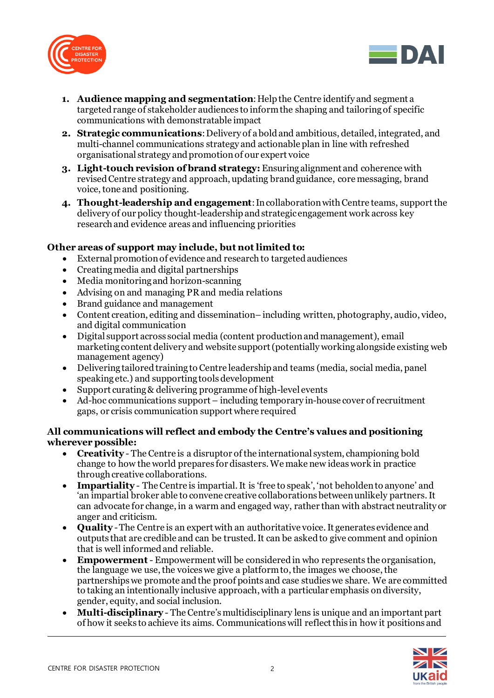



- **1. Audience mapping and segmentation:** Help the Centre identify and segment a targeted range of stakeholder audiences to inform the shaping and tailoring of specific communications with demonstratable impact
- **2. Strategic communications**: Delivery of a bold and ambitious, detailed, integrated, and multi-channel communications strategy and actionable plan in line with refreshed organisational strategy and promotionof our expert voice
- **3. Light-touch revision of brand strategy:** Ensuring alignment and coherence with revised Centre strategy and approach, updating brand guidance, core messaging, brand voice, tone and positioning.
- **4. Thought-leadership and engagement**: Incollaboration with Centre teams, support the delivery of our policy thought-leadership and strategic engagement work across key research and evidence areas and influencing priorities

#### **Other areas of support may include, but not limited to:**

- External promotion of evidence and research to targeted audiences
- Creating media and digital partnerships
- Media monitoring and horizon-scanning
- Advising on and managing PR and media relations
- Brand guidance and management
- Content creation, editing and dissemination–including written, photography, audio, video, and digital communication
- Digital support across social media (content production and management), email marketing content delivery and website support (potentially working alongside existing web management agency)
- Delivering tailored training to Centre leadership and teams (media, social media, panel speaking etc.) and supporting tools development
- Support curating & delivering programme of high-level events
- Ad-hoc communications support including temporary in-house cover of recruitment gaps, or crisis communication support where required

#### **All communications will reflect and embody the Centre's values and positioning wherever possible:**

- **Creativity** The Centre is a disruptor of the international system, championing bold change to how the world prepares for disasters. We make new ideas work in practice through creative collaborations.
- **Impartiality** The Centre is impartial. It is 'free to speak', 'not beholden to anyone' and 'an impartial broker able to convene creative collaborations between unlikely partners. It can advocate for change, in a warm and engaged way, rather than with abstract neutrality or anger and criticism.
- **Quality** -The Centre is an expert with an authoritative voice. It generates evidence and outputs that are credible and can be trusted. It can be asked to give comment and opinion that is well informed and reliable.
- **Empowerment** Empowerment will be considered in who represents the organisation, the language we use, the voices we give a platform to, the images we choose, the partnerships we promote and the proof points and case studies we share. We are committed to taking an intentionally inclusive approach, with a particular emphasis on diversity, gender, equity, and social inclusion.
- **Multi-disciplinary** The Centre's multidisciplinary lens is unique and an important part of how it seeks to achieve its aims. Communications will reflect this in how it positions and

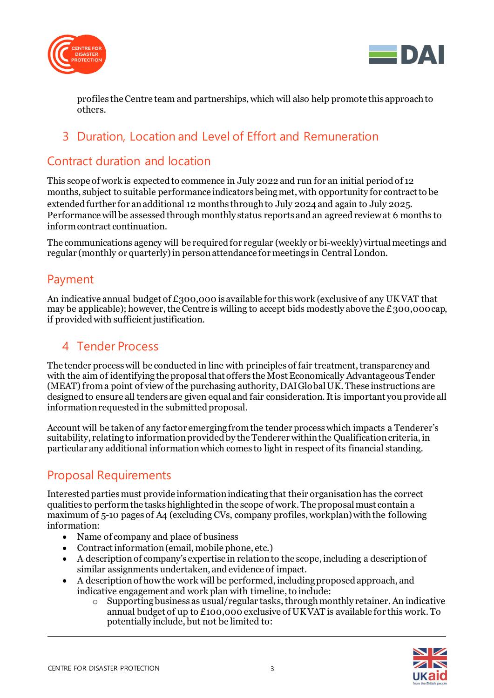



profiles the Centre team and partnerships, which will also help promote this approach to others.

### 3 Duration, Location and Level of Effort and Remuneration

#### Contract duration and location

This scope of work is expected to commence in July 2022 and run for an initial period of 12 months, subject to suitable performance indicators being met, with opportunity for contract to be extended further for an additional 12 months through to July 2024 and again to July 2025. Performance will be assessed through monthly status reports and an agreed review at 6 months to inform contract continuation.

The communications agency will be required for regular (weekly or bi-weekly) virtual meetings and regular (monthly or quarterly) in person attendance for meetings in Central London.

### Payment

An indicative annual budget of £300,000 is available for this work (exclusive of any UK VAT that may be applicable); however, the Centre is willing to accept bids modestly above the £300,000 cap, if provided with sufficient justification.

#### 4 Tender Process

The tender process will be conducted in line with principles of fair treatment, transparency and with the aim of identifying the proposal that offers the Most Economically Advantageous Tender (MEAT) from a point of view of the purchasing authority, DAI Global UK. These instructions are designed to ensure all tenders are given equal and fair consideration. It is important you provide all information requested in the submitted proposal.

Account will be taken of any factor emerging from the tender process which impacts a Tenderer's suitability, relating to information provided by the Tenderer within the Qualification criteria, in particular any additional information which comes to light in respect of its financial standing.

## Proposal Requirements

Interested parties must provide information indicating that their organisation has the correct qualities to perform the tasks highlighted in the scope of work. The proposal must contain a maximum of 5-10 pages of A4 (excluding CVs, company profiles, workplan) with the following information:

- Name of company and place of business
- Contract information (email, mobile phone, etc.)
- A description of company's expertise in relation to the scope, including a description of similar assignments undertaken, and evidence of impact.
- A description of how the work will be performed, including proposed approach, and indicative engagement and work plan with timeline, to include:
	- o Supporting business as usual/regular tasks, through monthly retainer. An indicative annual budget of up to £100,000 exclusive of UK VAT is available for this work. To potentially include, but not be limited to:

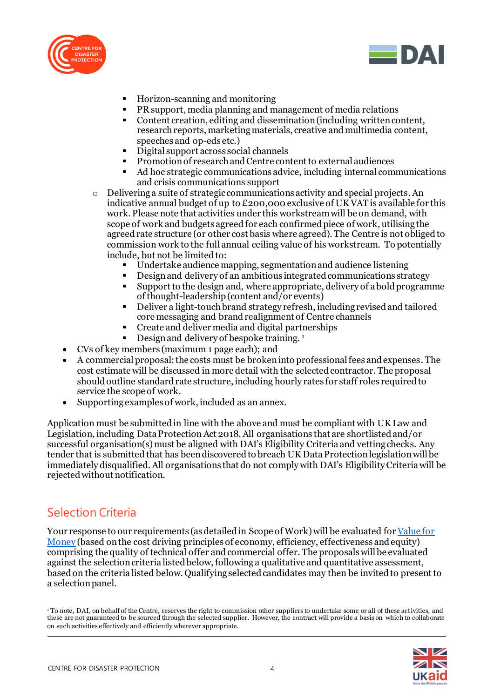



- Horizon-scanning and monitoring
- PR support, media planning and management of media relations
- Content creation, editing and dissemination (including written content, research reports, marketing materials, creative and multimedia content, speeches and op-eds etc.)
- $\tilde{D}$ igital support across social channels
- **•** Promotion of research and Centre content to external audiences
- Ad hoc strategic communications advice, including internal communications and crisis communications support
- $\circ$  Delivering a suite of strategic communications activity and special projects. An indicative annual budget of up to £200,000 exclusive of UK VAT is available for this work. Please note that activities under this workstream will be on demand, with scope of work and budgets agreed for each confirmed piece of work, utilising the agreed rate structure (or other cost basis where agreed). The Centre is not obliged to commission work to the full annual ceiling value of his workstream. To potentially include, but not be limited to:
	- Undertake audience mapping, segmentation and audience listening
	- Design and delivery of an ambitious integrated communications strategy
	- Support to the design and, where appropriate, delivery of a bold programme of thought-leadership (content and/or events)
	- Deliver a light-touch brand strategy refresh, including revised and tailored core messaging and brand realignment of Centre channels
	- Create and deliver media and digital partnerships
	- Design and delivery of bespoke training.<sup>1</sup>
- CVs of key members (maximum 1 page each); and
- A commercial proposal: the costs must be broken into professional fees and expenses. The cost estimate will be discussed in more detail with the selected contractor. The proposal should outline standard rate structure, including hourly rates for staff roles required to service the scope of work.
- Supporting examples of work, included as an annex.

Application must be submitted in line with the above and must be compliant with UK Law and Legislation, including Data Protection Act 2018. All organisations that are shortlisted and/or successful organisation(s) must be aligned with DAI's Eligibility Criteria and vetting checks. Any tender that is submitted that has been discovered to breach UK Data Protection legislation will be immediately disqualified. All organisations that do not comply with DAI's Eligibility Criteria will be rejected without notification.

#### Selection Criteria

Your response to our requirements (as detailed in Scope of Work) will be evaluated fo[r Value for](https://assets.publishing.service.gov.uk/government/uploads/system/uploads/attachment_data/file/603400/Value_for_Money_Guidance.docx)  [Money](https://assets.publishing.service.gov.uk/government/uploads/system/uploads/attachment_data/file/603400/Value_for_Money_Guidance.docx) (based on the cost driving principles of economy, efficiency, effectiveness and equity) comprising the quality of technical offer andcommercial offer. The proposals will be evaluated against the selection criteria listed below, following a qualitative and quantitative assessment, based on the criteria listed below. Qualifying selected candidates may then be invited to present to a selection panel.

<sup>1</sup> To note, DAI, on behalf of the Centre, reserves the right to commission other suppliers to undertake some or all of these activities, and these are not guaranteed to be sourced through the selected supplier. However, the contract will provide a basis on which to collaborate on such activities effectively and efficiently wherever appropriate.

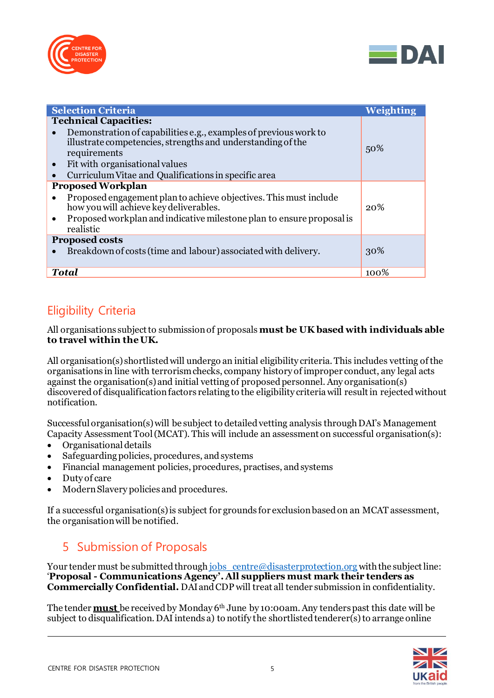



| <b>Selection Criteria</b>                                             | Weighting |
|-----------------------------------------------------------------------|-----------|
| <b>Technical Capacities:</b>                                          |           |
| Demonstration of capabilities e.g., examples of previous work to      |           |
| illustrate competencies, strengths and understanding of the           | 50%       |
| requirements<br>Fit with organisational values                        |           |
| Curriculum Vitae and Qualifications in specific area                  |           |
| <b>Proposed Workplan</b>                                              |           |
| Proposed engagement plan to achieve objectives. This must include     |           |
| how you will achieve key deliverables.                                | 20%       |
| Proposed workplan and indicative milestone plan to ensure proposal is |           |
| realistic                                                             |           |
| <b>Proposed costs</b>                                                 |           |
| Breakdown of costs (time and labour) associated with delivery.        | 30%       |
|                                                                       |           |
| <b>Total</b>                                                          | 100%      |

# Eligibility Criteria

All organisations subject to submission of proposals **must be UK based with individuals able to travel within the UK.** 

All organisation(s) shortlisted will undergo an initial eligibility criteria. This includes vetting of the organisations in line with terrorism checks, company history of improper conduct, any legal acts against the organisation(s) and initial vetting of proposed personnel. Any organisation(s) discovered of disqualification factors relating to the eligibility criteria will result in rejected without notification.

Successful organisation(s) will be subject to detailed vetting analysis through DAI's Management Capacity Assessment Tool (MCAT). This will include an assessment on successful organisation(s):

- Organisational details
- Safeguarding policies, procedures, and systems
- Financial management policies, procedures, practises, and systems
- Duty of care
- Modern Slavery policies and procedures.

If a successful organisation(s) is subject for grounds for exclusion based on an MCAT assessment, the organisation will be notified.

#### 5 Submission of Proposals

Your tender must be submitted through  $i_{\text{obs}}$  centre@disasterprotection.org with the subject line: '**Proposal - Communications Agency'. All suppliers must mark their tenders as Commercially Confidential.** DAI and CDP will treat all tender submission in confidentiality.

The tender **must** be received by Monday 6th June by 10:00am. Any tenders past this date will be subject to disqualification. DAI intends a) to notify the shortlisted tenderer(s) to arrange online